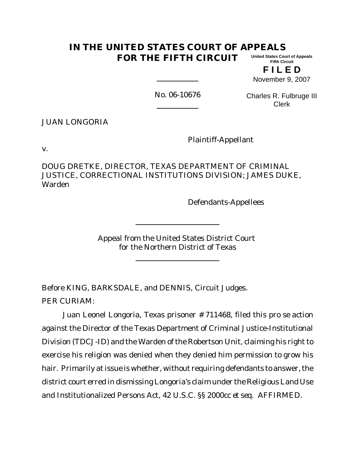#### **IN THE UNITED STATES COURT OF APPEALS FOR THE FIFTH CIRCUIT United States Court of Appeals Fifth Circuit**

**F I L E D** November 9, 2007

No. 06-10676

Charles R. Fulbruge III Clerk

JUAN LONGORIA

Plaintiff-Appellant

v.

DOUG DRETKE, DIRECTOR, TEXAS DEPARTMENT OF CRIMINAL JUSTICE, CORRECTIONAL INSTITUTIONS DIVISION; JAMES DUKE, Warden

Defendants-Appellees

Appeal from the United States District Court for the Northern District of Texas

Before KING, BARKSDALE, and DENNIS, Circuit Judges.

PER CURIAM:

Juan Leonel Longoria, Texas prisoner # 711468, filed this *pro se* action against the Director of the Texas Department of Criminal Justice-Institutional Division (TDCJ-ID) and the Warden of the Robertson Unit, claiming his right to exercise his religion was denied when they denied him permission to grow his hair. Primarily at issue is whether, without requiring defendants to answer, the district court erred in dismissing Longoria's claim under the Religious Land Use and Institutionalized Persons Act, 42 U.S.C. §§ 2000cc *et seq*. AFFIRMED.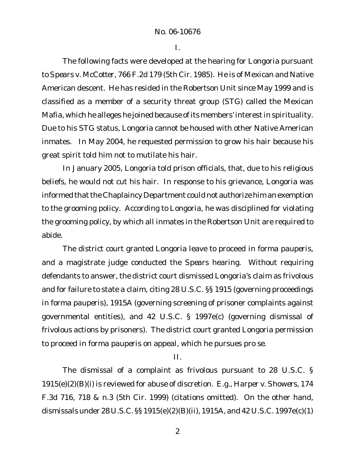I.

The following facts were developed at the hearing for Longoria pursuant to *Spears v. McCotter*, 766 F.2d 179 (5th Cir. 1985). He is of Mexican and Native American descent. He has resided in the Robertson Unit since May 1999 and is classified as a member of a security threat group (STG) called the Mexican Mafia, which he alleges he joined because of its members' interest in spirituality. Due to his STG status, Longoria cannot be housed with other Native American inmates. In May 2004, he requested permission to grow his hair because his great spirit told him not to mutilate his hair.

In January 2005, Longoria told prison officials, that, due to his religious beliefs, he would not cut his hair. In response to his grievance, Longoria was informed that the Chaplaincy Department could not authorize him an exemption to the grooming policy. According to Longoria, he was disciplined for violating the grooming policy, by which all inmates in the Robertson Unit are required to abide.

The district court granted Longoria leave to proceed *in forma pauperis*, and a magistrate judge conducted the *Spears* hearing. Without requiring defendants to answer, the district court dismissed Longoria's claim as frivolous and for failure to state a claim, citing 28 U.S.C. §§ 1915 (governing proceedings *in forma pauperis*), 1915A (governing screening of prisoner complaints against governmental entities), and 42 U.S.C. § 1997e(c) (governing dismissal of frivolous actions by prisoners). The district court granted Longoria permission to proceed *in forma pauperis* on appeal, which he pursues *pro se*.

II.

The dismissal of a complaint as frivolous pursuant to 28 U.S.C. § 1915(e)(2)(B)(i) is reviewed for abuse of discretion. *E.g., Harper v. Showers*, 174 F.3d 716, 718 & n.3 (5th Cir. 1999) (citations omitted). On the other hand, dismissals under 28 U.S.C. §§ 1915(e)(2)(B)(ii), 1915A, and 42 U.S.C. 1997e(c)(1)

2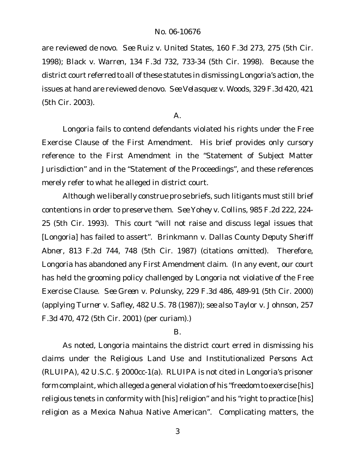are reviewed *de novo*. *See Ruiz v. United States*, 160 F.3d 273, 275 (5th Cir. 1998); *Black v. Warren*, 134 F.3d 732, 733-34 (5th Cir. 1998). Because the district court referred to all of these statutes in dismissing Longoria's action, the issues at hand are reviewed *de novo*. *See Velasquez v. Woods*, 329 F.3d 420, 421 (5th Cir. 2003).

### $\mathsf{A}$ .

Longoria fails to contend defendants violated his rights under the Free Exercise Clause of the First Amendment. His brief provides only cursory reference to the First Amendment in the "Statement of Subject Matter Jurisdiction" and in the "Statement of the Proceedings", and these references merely refer to what he alleged in district court.

Although we liberally construe *pro se* briefs, such litigants must still brief contentions in order to preserve them. *See Yohey v. Collins*, 985 F.2d 222, 224- 25 (5th Cir. 1993). This court "will not raise and discuss legal issues that [Longoria] has failed to assert". *Brinkmann v. Dallas County Deputy Sheriff Abner*, 813 F.2d 744, 748 (5th Cir. 1987) (citations omitted). Therefore, Longoria has abandoned any First Amendment claim. (In any event, our court has held the grooming policy challenged by Longoria not violative of the Free Exercise Clause. *See Green v. Polunsky*, 229 F.3d 486, 489-91 (5th Cir. 2000) (applying *Turner v. Safley*, 482 U.S. 78 (1987)); *see also Taylor v. Johnson*, 257 F.3d 470, 472 (5th Cir. 2001) (per curiam).)

### B.

As noted, Longoria maintains the district court erred in dismissing his claims under the Religious Land Use and Institutionalized Persons Act (RLUIPA), 42 U.S.C. § 2000cc-1(a). RLUIPA is not cited in Longoria's prisoner form complaint, which alleged a general violation of his "freedom to exercise [his] religious tenets in conformity with [his] religion" and his "right to practice [his] religion as a Mexica Nahua Native American". Complicating matters, the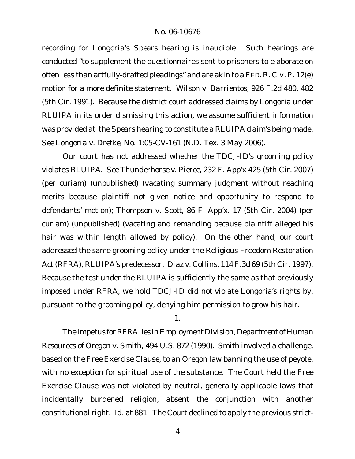recording for Longoria's *Spears* hearing is inaudible. Such hearings are conducted "to supplement the questionnaires sent to prisoners to elaborate on often less than artfully-drafted pleadings" and are akin to a FED. R. CIV.P. 12(e) motion for a more definite statement. *Wilson v. Barrientos*, 926 F.2d 480, 482 (5th Cir. 1991). Because the district court addressed claims by Longoria under RLUIPA in its order dismissing this action, we assume sufficient information was provided at the *Spears* hearing to constitute a RLUIPA claim's being made. *See Longoria v. Dretke*, No. 1:05-CV-161 (N.D. Tex. 3 May 2006).

Our court has not addressed whether the TDCJ-ID's grooming policy violates RLUIPA. *See Thunderhorse v. Pierce*, 232 F. App'x 425 (5th Cir. 2007) (per curiam) (unpublished) (vacating summary judgment without reaching merits because plaintiff not given notice and opportunity to respond to defendants' motion); *Thompson v. Scott*, 86 F. App'x. 17 (5th Cir. 2004) (per curiam) (unpublished) (vacating and remanding because plaintiff alleged his hair was within length allowed by policy). On the other hand, our court addressed the same grooming policy under the Religious Freedom Restoration Act (RFRA), RLUIPA's predecessor. *Diaz v. Collins*, 114 F.3d 69 (5th Cir. 1997). Because the test under the RLUIPA is sufficiently the same as that previously imposed under RFRA, we hold TDCJ-ID did *not* violate Longoria's rights by, pursuant to the grooming policy, denying him permission to grow his hair.

1.

The impetus for RFRA lies in *Employment Division, Department of Human Resources of Oregon v. Smith*, 494 U.S. 872 (1990). *Smith* involved a challenge, based on the Free Exercise Clause, to an Oregon law banning the use of peyote, with no exception for spiritual use of the substance. The Court held the Free Exercise Clause was not violated by neutral, generally applicable laws that incidentally burdened religion, absent the conjunction with another constitutional right. *Id.* at 881. The Court declined to apply the previous strict-

4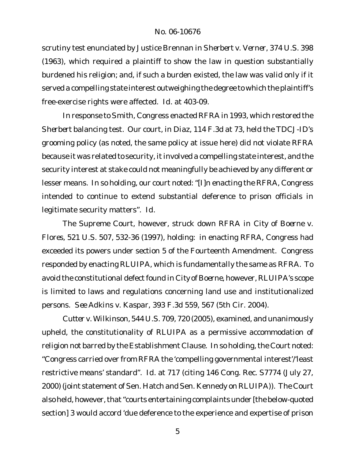# No. 06-10676

scrutiny test enunciated by Justice Brennan in *Sherbert v. Verner*, 374 U.S. 398 (1963), which required a plaintiff to show the law in question substantially burdened his religion; and, if such a burden existed, the law was valid only if it served a compelling state interest outweighing the degree to which the plaintiff's free-exercise rights were affected. *Id.* at 403-09.

In response to *Smith*, Congress enacted RFRA in 1993, which restored the *Sherbert* balancing test. Our court, in *Diaz*, 114 F.3d at 73, held the TDCJ-ID's grooming policy (as noted, the same policy at issue here) did not violate RFRA because it was related to security, it involved a compelling state interest, and the security interest at stake could not meaningfully be achieved by any different or lesser means. In so holding, our court noted: "[I]n enacting the RFRA, Congress intended to continue to extend substantial deference to prison officials in legitimate security matters". *Id.*

The Supreme Court, however, struck down RFRA in *City of Boerne v. Flores*, 521 U.S. 507, 532-36 (1997), holding: in enacting RFRA, Congress had exceeded its powers under section 5 of the Fourteenth Amendment. Congress responded by enacting RLUIPA, which is fundamentally the same as RFRA. To avoid the constitutional defect found in City of Boerne, however, RLUIPA's scope is limited to laws and regulations concerning land use and institutionalized persons. *See Adkins v. Kaspar*, 393 F.3d 559, 567 (5th Cir. 2004).

*Cutter v. Wilkinson*, 544 U.S. 709, 720 (2005), examined, and unanimously upheld, the constitutionality of RLUIPA as a permissive accommodation of religion not barred by the Establishment Clause. In so holding, the Court noted: "Congress carried over from RFRA the 'compelling governmental interest'/'least restrictive means' standard". *Id.* at 717 (citing 146 Cong. Rec. S7774 (July 27, 2000) (joint statement of Sen. Hatch and Sen. Kennedy on RLUIPA)). The Court also held, however, that "courts entertaining complaints under [the below-quoted section] 3 would accord 'due deference to the experience and expertise of prison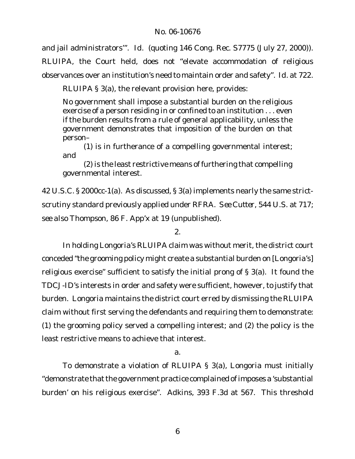and jail administrators'". *Id.* (quoting 146 Cong. Rec. S7775 (July 27, 2000)).

RLUIPA, the Court held, does not "elevate accommodation of religious observances over an institution's need to maintain order and safety". *Id.* at 722.

RLUIPA § 3(a), the relevant provision here, provides:

No government shall impose a substantial burden on the religious exercise of a person residing in or confined to an institution . . . even if the burden results from a rule of general applicability, unless the government demonstrates that imposition of the burden on that person–

(1) is in furtherance of a compelling governmental interest; and

(2) is the least restrictive means of furthering that compelling governmental interest.

42 U.S.C. § 2000cc-1(a). As discussed, § 3(a) implements nearly the same strictscrutiny standard previously applied under RFRA. *See Cutter*, 544 U.S. at 717; *see also Thompson*, 86 F. App'x at 19 (unpublished).

# 2.

In holding Longoria's RLUIPA claim was without merit, the district court conceded "the grooming policy might create a substantial burden on [Longoria's] religious exercise" sufficient to satisfy the initial prong of § 3(a). It found the TDCJ-ID's interests in order and safety were sufficient, however, to justify that burden. Longoria maintains the district court erred by dismissing the RLUIPA claim without first serving the defendants and requiring them to demonstrate: (1) the grooming policy served a compelling interest; and (2) the policy is the least restrictive means to achieve that interest.

a.

To demonstrate a violation of RLUIPA § 3(a), Longoria must initially "demonstrate that the government practice complained of imposes a 'substantial burden' on his religious exercise". *Adkins*, 393 F.3d at 567. This threshold

6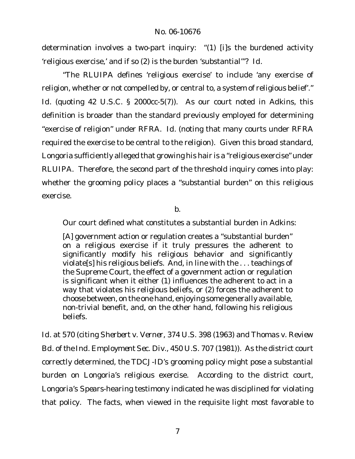determination involves a two-part inquiry: "(1) [i]s the burdened activity 'religious exercise,' and if so (2) is the burden 'substantial'"? *Id.*

"The RLUIPA defines 'religious exercise' to include 'any exercise of religion, whether or not compelled by, or central to, a system of religious belief'." *Id.* (quoting 42 U.S.C. § 2000cc-5(7)). As our court noted in *Adkins*, this definition is broader than the standard previously employed for determining "exercise of religion" under RFRA. *Id*. (noting that many courts under RFRA required the exercise to be central to the religion). Given this broad standard, Longoria sufficiently alleged that growing his hair is a "religious exercise" under RLUIPA. Therefore, the second part of the threshold inquiry comes into play: whether the grooming policy places a "substantial burden" on this religious exercise.

b.

Our court defined what constitutes a substantial burden in *Adkins*:

[A] government action or regulation creates a "substantial burden" on a religious exercise if it truly pressures the adherent to significantly modify his religious behavior and significantly violate[s] his religious beliefs. And, in line with the . . . teachings of the Supreme Court, the effect of a government action or regulation is significant when it either (1) influences the adherent to act in a way that violates his religious beliefs, or (2) forces the adherent to choose between, on the one hand, enjoying some generally available, non-trivial benefit, and, on the other hand, following his religious beliefs.

*Id.* at 570 (citing *Sherbert v. Verner*, 374 U.S. 398 (1963) and *Thomas v. Review Bd. of the Ind. Employment Sec. Div.*, 450 U.S. 707 (1981)). As the district court correctly determined, the TDCJ-ID's grooming policy might pose a substantial burden on Longoria's religious exercise. According to the district court, Longoria's *Spears*-hearing testimony indicated he was disciplined for violating that policy. The facts, when viewed in the requisite light most favorable to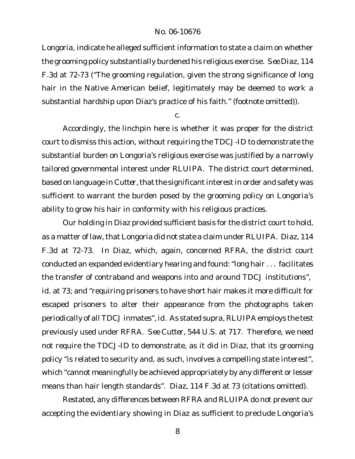## No. 06-10676

Longoria, indicate he alleged sufficient information to state a claim on whether the grooming policy substantially burdened his religious exercise. *See Diaz*, 114 F.3d at 72-73 ("The grooming regulation, given the strong significance of long hair in the Native American belief, legitimately may be deemed to work a substantial hardship upon Diaz's practice of his faith." (footnote omitted)).

c.

Accordingly, the linchpin here is whether it was proper for the district court to dismiss this action, without requiring the TDCJ-ID to demonstrate the substantial burden on Longoria's religious exercise was justified by a narrowly tailored governmental interest under RLUIPA. The district court determined, based on language in Cutter, that the significant interest in order and safety was sufficient to warrant the burden posed by the grooming policy on Longoria's ability to grow his hair in conformity with his religious practices.

Our holding in *Diaz* provided sufficient basis for the district court to hold, as a matter of law, that Longoria did not state a claim under RLUIPA. Diaz, 114 F.3d at 72-73. In *Diaz*, which, again, concerned RFRA, the district court conducted an expanded evidentiary hearing and found: "long hair . . . facilitates the transfer of contraband and weapons into and around TDCJ institutions", *id.* at 73; and "requiring prisoners to have short hair makes it more difficult for escaped prisoners to alter their appearance from the photographs taken periodically of all TDCJ inmates",*id.* As stated *supra*, RLUIPA employs the test previously used under RFRA. *See Cutter*, 544 U.S. at 717. Therefore, we need not require the TDCJ-ID to demonstrate, as it did in *Diaz*, that its grooming policy "is related to security and, as such, involves a compelling state interest", which "cannot meaningfully be achieved appropriately by any different or lesser means than hair length standards". *Diaz,* 114 F.3d at 73 (citations omitted).

Restated, any differences between RFRA and RLUIPA do not prevent our accepting the evidentiary showing in *Diaz* as sufficient to preclude Longoria's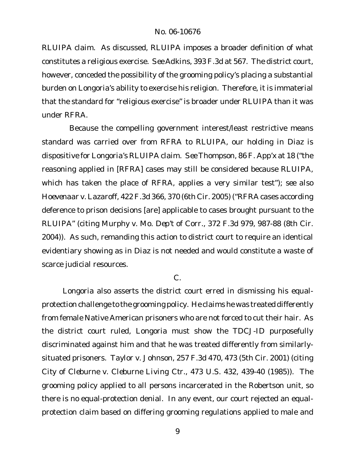RLUIPA claim. As discussed, RLUIPA imposes a broader definition of what constitutes a religious exercise. *See Adkins*, 393 F.3d at 567. The district court, however, conceded the possibility of the grooming policy's placing a substantial burden on Longoria's ability to exercise his religion. Therefore, it is immaterial that the standard for "religious exercise" is broader under RLUIPA than it was under RFRA.

Because the compelling government interest/least restrictive means standard was carried over from RFRA to RLUIPA, our holding in *Diaz* is dispositive for Longoria's RLUIPA claim. *See Thompson*, 86 F. App'x at 18 ("the reasoning applied in [RFRA] cases may still be considered because RLUIPA, which has taken the place of RFRA, applies a very similar test"); *see also Hoevenaar v. Lazaroff*, 422 F.3d 366, 370 (6th Cir. 2005) ("RFRA cases according deference to prison decisions [are] applicable to cases brought pursuant to the RLUIPA" (citing *Murphy v. Mo. Dep't of Corr.*, 372 F.3d 979, 987-88 (8th Cir. 2004)). As such, remanding this action to district court to require an identical evidentiary showing as in *Diaz* is not needed and would constitute a waste of scarce judicial resources.

# C.

Longoria also asserts the district court erred in dismissing his equalprotection challenge to the grooming policy. He claims he was treated differently from female Native American prisoners who are not forced to cut their hair. As the district court ruled, Longoria must show the TDCJ-ID purposefully discriminated against him and that he was treated differently from similarlysituated prisoners. *Taylor v. Johnson*, 257 F.3d 470, 473 (5th Cir. 2001) (citing *City of Cleburne v. Cleburne Living Ctr.*, 473 U.S. 432, 439-40 (1985)). The grooming policy applied to all persons incarcerated in the Robertson unit, so there is no equal-protection denial. In any event, our court rejected an equalprotection claim based on differing grooming regulations applied to male and